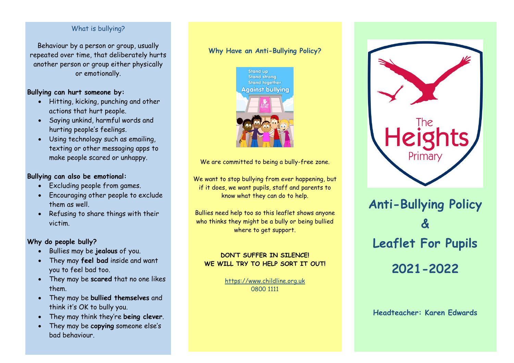#### What is bullying?

Behaviour by a person or group, usually repeated over time, that deliberately hurts another person or group either physically or emotionally.

### **Bullying can hurt someone by:**

- Hitting, kicking, punching and other actions that hurt people.
- Saying unkind, harmful words and hurting people's feelings.
- Using technology such as emailing, texting or other messaging apps to make people scared or unhappy.

## **Bullying can also be emotional:**

- Excluding people from games.
- Encouraging other people to exclude them as well.
- Refusing to share things with their victim.

## **Why do people bully?**

- Bullies may be **jealous** of you.
- They may **feel bad** inside and want you to feel bad too.
- They may be **scared** that no one likes them.
- They may be **bullied themselves** and think it's OK to bully you.
- They may think they're **being clever**.
- They may be **copying** someone else's bad behaviour.

## **Why Have an Anti-Bullying Policy?**



We are committed to being a bully-free zone.

We want to stop bullying from ever happening, but if it does, we want pupils, staff and parents to know what they can do to help.

Bullies need help too so this leaflet shows anyone who thinks they might be a bully or being bullied where to get support.

## **DON'T SUFFER IN SILENCE! WE WILL TRY TO HELP SORT IT OUT!**

[https://www.childline.org.uk](https://www.childline.org.uk/) 0800 1111



# **Anti-Bullying Policy & Leaflet For Pupils 2021-2022**

**Headteacher: Karen Edwards**